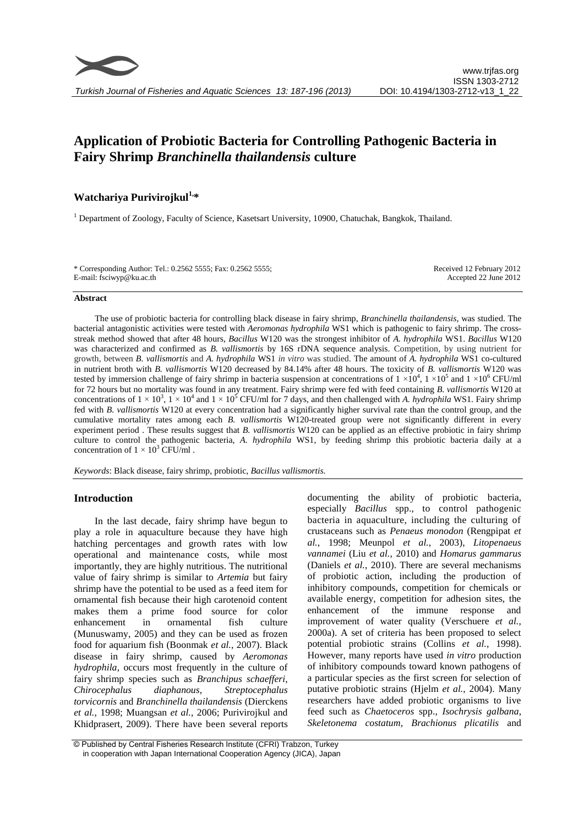# **Application of Probiotic Bacteria for Controlling Pathogenic Bacteria in Fairy Shrimp** *Branchinella thailandensis* **culture**

# **Watchariya Purivirojkul1, \***

<sup>1</sup> Department of Zoology, Faculty of Science, Kasetsart University, 10900, Chatuchak, Bangkok, Thailand.

| * Corresponding Author: Tel.: 0.2562 5555; Fax: 0.2562 5555; | Received 12 February 2012 |
|--------------------------------------------------------------|---------------------------|
| E-mail: fsciwyp@ku.ac.th                                     | Accepted 22 June 2012     |

#### **Abstract**

The use of probiotic bacteria for controlling black disease in fairy shrimp, *Branchinella thailandensis*, was studied. The bacterial antagonistic activities were tested with *Aeromonas hydrophila* WS1 which is pathogenic to fairy shrimp. The crossstreak method showed that after 48 hours, *Bacillus* W120 was the strongest inhibitor of *A. hydrophila* WS1. *Bacillus* W120 was characterized and confirmed as *B. vallismortis* by 16S rDNA sequence analysis. Competition, by using nutrient for growth, between *B. vallismortis* and *A. hydrophila* WS1 *in vitro* was studied. The amount of *A. hydrophila* WS1 co-cultured in nutrient broth with *B. vallismortis* W120 decreased by 84.14% after 48 hours. The toxicity of *B. vallismortis* W120 was tested by immersion challenge of fairy shrimp in bacteria suspension at concentrations of  $1 \times 10^4$ ,  $1 \times 10^5$  and  $1 \times 10^6$  CFU/ml for 72 hours but no mortality was found in any treatment. Fairy shrimp were fed with feed containing *B. vallismortis* W120 at concentrations of  $1 \times 10^3$ ,  $1 \times 10^4$  and  $1 \times 10^5$  CFU/ml for 7 days, and then challenged with *A. hydrophila* WS1. Fairy shrimp fed with *B. vallismortis* W120 at every concentration had a significantly higher survival rate than the control group, and the cumulative mortality rates among each *B. vallismortis* W120-treated group were not significantly different in every experiment period . These results suggest that *B. vallismortis* W120 can be applied as an effective probiotic in fairy shrimp culture to control the pathogenic bacteria, *A. hydrophila* WS1, by feeding shrimp this probiotic bacteria daily at a concentration of  $1 \times 10^3$  CFU/ml.

*Keywords*: Black disease, fairy shrimp, probiotic, *Bacillus vallismortis.*

# **Introduction**

In the last decade, fairy shrimp have begun to play a role in aquaculture because they have high hatching percentages and growth rates with low operational and maintenance costs, while most importantly, they are highly nutritious. The nutritional value of fairy shrimp is similar to *Artemia* but fairy shrimp have the potential to be used as a feed item for ornamental fish because their high carotenoid content makes them a prime food source for color enhancement in ornamental fish culture (Munuswamy, 2005) and they can be used as frozen food for aquarium fish (Boonmak *et al.*, 2007). Black disease in fairy shrimp, caused by *Aeromonas hydrophila*, occurs most frequently in the culture of fairy shrimp species such as *Branchipus schaefferi*, *Chirocephalus diaphanous*, *Streptocephalus torvicornis* and *Branchinella thailandensis* (Dierckens *et al.*, 1998; Muangsan *et al.*, 2006; Purivirojkul and Khidprasert, 2009). There have been several reports

documenting the ability of probiotic bacteria, especially *Bacillus* spp., to control pathogenic bacteria in aquaculture, including the culturing of crustaceans such as *Penaeus monodon* (Rengpipat *et al.*, 1998; Meunpol *et al.*, 2003), *Litopenaeus vannamei* (Liu *et al.*, 2010) and *Homarus gammarus* (Daniels *et al.*, 2010). There are several mechanisms of probiotic action, including the production of inhibitory compounds, competition for chemicals or available energy, competition for adhesion sites, the enhancement of the immune response and improvement of water quality (Verschuere *et al.*, 2000a). A set of criteria has been proposed to select potential probiotic strains (Collins *et al.*, 1998). However, many reports have used *in vitro* production of inhibitory compounds toward known pathogens of a particular species as the first screen for selection of putative probiotic strains (Hjelm *et al.*, 2004). Many researchers have added probiotic organisms to live feed such as *Chaetoceros* spp., *Isochrysis galbana*, *Skeletonema costatum*, *Brachionus plicatilis* and

<sup>©</sup> Published by Central Fisheries Research Institute (CFRI) Trabzon, Turkey in cooperation with Japan International Cooperation Agency (JICA), Japan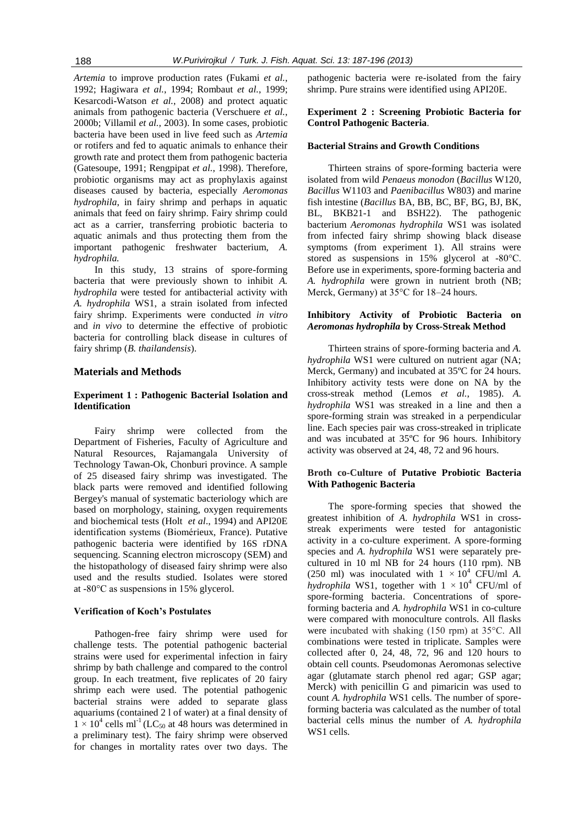*Artemia* to improve production rates (Fukami *et al.*, 1992; Hagiwara *et al.*, 1994; Rombaut *et al.*, 1999; Kesarcodi-Watson *et al.*, 2008) and protect aquatic animals from pathogenic bacteria (Verschuere *et al.*, 2000b; Villamil *et al.*, 2003). In some cases, probiotic bacteria have been used in live feed such as *Artemia* or rotifers and fed to aquatic animals to enhance their growth rate and protect them from pathogenic bacteria (Gatesoupe, 1991; Rengpipat *et al.*, 1998). Therefore, probiotic organisms may act as prophylaxis against diseases caused by bacteria, especially *Aeromonas hydrophila*, in fairy shrimp and perhaps in aquatic animals that feed on fairy shrimp. Fairy shrimp could act as a carrier, transferring probiotic bacteria to aquatic animals and thus protecting them from the important pathogenic freshwater bacterium, *A. hydrophila.*

In this study, 13 strains of spore-forming bacteria that were previously shown to inhibit *A. hydrophila* were tested for antibacterial activity with *A. hydrophila* WS1, a strain isolated from infected fairy shrimp. Experiments were conducted *in vitro*  and *in vivo* to determine the effective of probiotic bacteria for controlling black disease in cultures of fairy shrimp (*B. thailandensis*).

# **Materials and Methods**

# **Experiment 1 : Pathogenic Bacterial Isolation and Identification**

Fairy shrimp were collected from the Department of Fisheries, Faculty of Agriculture and Natural Resources, Rajamangala University of Technology Tawan-Ok, Chonburi province. A sample of 25 diseased fairy shrimp was investigated. The black parts were removed and identified following Bergey's manual of systematic bacteriology which are based on morphology, staining, oxygen requirements and biochemical tests (Holt *et al*., 1994) and API20E identification systems (Biomérieux, France). Putative pathogenic bacteria were identified by 16S rDNA sequencing. Scanning electron microscopy (SEM) and the histopathology of diseased fairy shrimp were also used and the results studied. Isolates were stored at -80°C as suspensions in 15% glycerol.

#### **Verification of Koch's Postulates**

Pathogen-free fairy shrimp were used for challenge tests. The potential pathogenic bacterial strains were used for experimental infection in fairy shrimp by bath challenge and compared to the control group. In each treatment, five replicates of 20 fairy shrimp each were used. The potential pathogenic bacterial strains were added to separate glass aquariums (contained 2 l of water) at a final density of  $1 \times 10^4$  cells ml<sup>-1</sup> (LC<sub>50</sub> at 48 hours was determined in a preliminary test). The fairy shrimp were observed for changes in mortality rates over two days. The

pathogenic bacteria were re-isolated from the fairy shrimp. Pure strains were identified using API20E.

# **Experiment 2 : Screening Probiotic Bacteria for Control Pathogenic Bacteria**.

# **Bacterial Strains and Growth Conditions**

Thirteen strains of spore-forming bacteria were isolated from wild *Penaeus monodon* (*Bacillus* W120, *Bacillus* W1103 and *Paenibacillus* W803) and marine fish intestine (*Bacillus* BA, BB, BC, BF, BG, BJ, BK, BL, BKB21-1 and BSH22). The pathogenic bacterium *Aeromonas hydrophila* WS1 was isolated from infected fairy shrimp showing black disease symptoms (from experiment 1). All strains were stored as suspensions in 15% glycerol at -80°C. Before use in experiments, spore-forming bacteria and *A. hydrophila* were grown in nutrient broth (NB; Merck, Germany) at 35°C for 18–24 hours.

# **Inhibitory Activity of Probiotic Bacteria on**  *Aeromonas hydrophila* **by Cross-Streak Method**

Thirteen strains of spore-forming bacteria and *A. hydrophila* WS1 were cultured on nutrient agar (NA; Merck, Germany) and incubated at 35ºC for 24 hours. Inhibitory activity tests were done on NA by the cross-streak method (Lemos *et al.*, 1985). *A. hydrophila* WS1 was streaked in a line and then a spore-forming strain was streaked in a perpendicular line. Each species pair was cross-streaked in triplicate and was incubated at 35ºC for 96 hours. Inhibitory activity was observed at 24, 48, 72 and 96 hours.

# **Broth co-Culture of Putative Probiotic Bacteria With Pathogenic Bacteria**

The spore-forming species that showed the greatest inhibition of *A. hydrophila* WS1 in crossstreak experiments were tested for antagonistic activity in a co-culture experiment. A spore-forming species and *A. hydrophila* WS1 were separately precultured in 10 ml NB for 24 hours (110 rpm). NB (250 ml) was inoculated with  $1 \times 10^4$  CFU/ml *A*. *hydrophila* WS1, together with  $1 \times 10^4$  CFU/ml of spore-forming bacteria. Concentrations of sporeforming bacteria and *A. hydrophila* WS1 in co-culture were compared with monoculture controls. All flasks were incubated with shaking (150 rpm) at 35°C. All combinations were tested in triplicate. Samples were collected after 0, 24, 48, 72, 96 and 120 hours to obtain cell counts. Pseudomonas Aeromonas selective agar (glutamate starch phenol red agar; GSP agar; Merck) with penicillin G and pimaricin was used to count *A. hydrophila* WS1 cells. The number of sporeforming bacteria was calculated as the number of total bacterial cells minus the number of *A. hydrophila*  WS1 cells.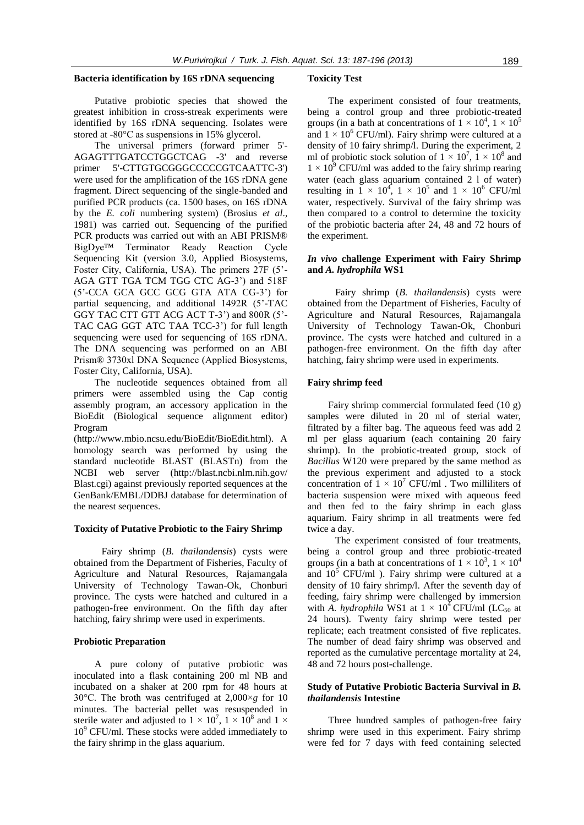#### **Bacteria identification by 16S rDNA sequencing**

Putative probiotic species that showed the greatest inhibition in cross-streak experiments were identified by 16S rDNA sequencing. Isolates were stored at -80°C as suspensions in 15% glycerol.

The universal primers (forward primer 5'- AGAGTTTGATCCTGGCTCAG -3' and reverse primer 5'-CTTGTGCGGGCCCCCGTCAATTC-3') were used for the amplification of the 16S rDNA gene fragment. Direct sequencing of the single-banded and purified PCR products (ca. 1500 bases, on 16S rDNA by the *E. coli* numbering system) (Brosius *et al*., 1981) was carried out. Sequencing of the purified PCR products was carried out with an ABI PRISM® BigDye™ Terminator Ready Reaction Cycle Sequencing Kit (version 3.0, Applied Biosystems, Foster City, California, USA). The primers 27F (5'- AGA GTT TGA TCM TGG CTC AG-3') and 518F (5'-CCA GCA GCC GCG GTA ATA CG-3') for partial sequencing, and additional 1492R (5'-TAC GGY TAC CTT GTT ACG ACT T-3') and 800R (5'- TAC CAG GGT ATC TAA TCC-3') for full length sequencing were used for sequencing of 16S rDNA. The DNA sequencing was performed on an ABI Prism® 3730xl DNA Sequence (Applied Biosystems, Foster City, California, USA).

The nucleotide sequences obtained from all primers were assembled using the Cap contig assembly program, an accessory application in the BioEdit (Biological sequence alignment editor) Program

(http://www.mbio.ncsu.edu/BioEdit/BioEdit.html). A homology search was performed by using the standard nucleotide BLAST (BLASTn) from the NCBI web server (http://blast.ncbi.nlm.nih.gov/ Blast.cgi) against previously reported sequences at the GenBank/EMBL/DDBJ database for determination of the nearest sequences.

## **Toxicity of Putative Probiotic to the Fairy Shrimp**

Fairy shrimp (*B. thailandensis*) cysts were obtained from the Department of Fisheries, Faculty of Agriculture and Natural Resources, Rajamangala University of Technology Tawan-Ok, Chonburi province. The cysts were hatched and cultured in a pathogen-free environment. On the fifth day after hatching, fairy shrimp were used in experiments.

# **Probiotic Preparation**

A pure colony of putative probiotic was inoculated into a flask containing 200 ml NB and incubated on a shaker at 200 rpm for 48 hours at 30°C. The broth was centrifuged at 2,000×*g* for 10 minutes. The bacterial pellet was resuspended in sterile water and adjusted to  $1 \times 10^7$ ,  $1 \times 10^8$  and  $1 \times$  $10<sup>9</sup>$  CFU/ml. These stocks were added immediately to the fairy shrimp in the glass aquarium.

#### **Toxicity Test**

The experiment consisted of four treatments, being a control group and three probiotic-treated groups (in a bath at concentrations of  $1 \times 10^4$ ,  $1 \times 10^5$ and  $1 \times 10^6$  CFU/ml). Fairy shrimp were cultured at a density of 10 fairy shrimp/l. During the experiment, 2 ml of probiotic stock solution of  $1 \times 10^7$ ,  $1 \times 10^8$  and  $1 \times 10^{9}$  CFU/ml was added to the fairy shrimp rearing water (each glass aquarium contained 2 l of water) resulting in  $1 \times 10^4$ ,  $1 \times 10^5$  and  $1 \times 10^6$  CFU/ml water, respectively. Survival of the fairy shrimp was then compared to a control to determine the toxicity of the probiotic bacteria after 24, 48 and 72 hours of the experiment.

## *In vivo* **challenge Experiment with Fairy Shrimp and** *A. hydrophila* **WS1**

Fairy shrimp (*B. thailandensis*) cysts were obtained from the Department of Fisheries, Faculty of Agriculture and Natural Resources, Rajamangala University of Technology Tawan-Ok, Chonburi province. The cysts were hatched and cultured in a pathogen-free environment. On the fifth day after hatching, fairy shrimp were used in experiments.

# **Fairy shrimp feed**

Fairy shrimp commercial formulated feed (10 g) samples were diluted in 20 ml of sterial water, filtrated by a filter bag. The aqueous feed was add 2 ml per glass aquarium (each containing 20 fairy shrimp). In the probiotic-treated group, stock of *Bacillus* W120 were prepared by the same method as the previous experiment and adjusted to a stock concentration of  $1 \times 10^7$  CFU/ml. Two milliliters of bacteria suspension were mixed with aqueous feed and then fed to the fairy shrimp in each glass aquarium. Fairy shrimp in all treatments were fed twice a day.

The experiment consisted of four treatments, being a control group and three probiotic-treated groups (in a bath at concentrations of  $1 \times 10^3$ ,  $1 \times 10^4$ and  $10<sup>5</sup>$  CFU/ml ). Fairy shrimp were cultured at a density of 10 fairy shrimp/l. After the seventh day of feeding, fairy shrimp were challenged by immersion with *A. hydrophila* WS1 at  $1 \times 10^4$  CFU/ml (LC<sub>50</sub> at 24 hours). Twenty fairy shrimp were tested per replicate; each treatment consisted of five replicates. The number of dead fairy shrimp was observed and reported as the cumulative percentage mortality at 24, 48 and 72 hours post-challenge.

#### **Study of Putative Probiotic Bacteria Survival in** *B. thailandensis* **Intestine**

Three hundred samples of pathogen-free fairy shrimp were used in this experiment. Fairy shrimp were fed for 7 days with feed containing selected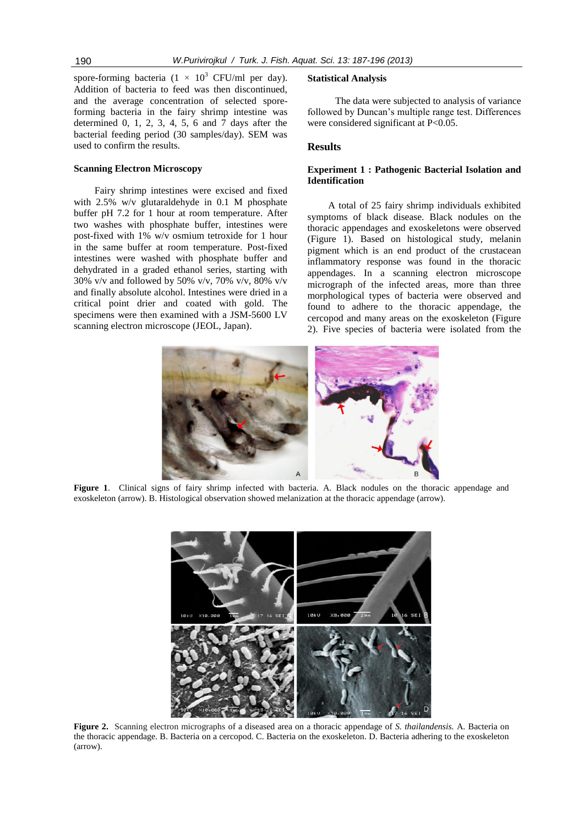spore-forming bacteria (1  $\times$  10<sup>3</sup> CFU/ml per day). Addition of bacteria to feed was then discontinued, and the average concentration of selected sporeforming bacteria in the fairy shrimp intestine was determined 0, 1, 2, 3, 4, 5, 6 and 7 days after the bacterial feeding period (30 samples/day). SEM was used to confirm the results.

#### **Scanning Electron Microscopy**

Fairy shrimp intestines were excised and fixed with 2.5% w/v glutaraldehyde in 0.1 M phosphate buffer pH 7.2 for 1 hour at room temperature. After two washes with phosphate buffer, intestines were post-fixed with 1% w/v osmium tetroxide for 1 hour in the same buffer at room temperature. Post-fixed intestines were washed with phosphate buffer and dehydrated in a graded ethanol series, starting with 30% v/v and followed by 50% v/v, 70% v/v, 80% v/v and finally absolute alcohol. Intestines were dried in a critical point drier and coated with gold. The specimens were then examined with a JSM-5600 LV scanning electron microscope (JEOL, Japan).

#### **Statistical Analysis**

The data were subjected to analysis of variance followed by Duncan's multiple range test. Differences were considered significant at P<0.05.

# **Results**

# **Experiment 1 : Pathogenic Bacterial Isolation and Identification**

A total of 25 fairy shrimp individuals exhibited symptoms of black disease. Black nodules on the thoracic appendages and exoskeletons were observed (Figure 1). Based on histological study, melanin pigment which is an end product of the crustacean inflammatory response was found in the thoracic appendages. In a scanning electron microscope micrograph of the infected areas, more than three morphological types of bacteria were observed and found to adhere to the thoracic appendage, the cercopod and many areas on the exoskeleton (Figure 2). Five species of bacteria were isolated from the



**Figure 1**. Clinical signs of fairy shrimp infected with bacteria. A. Black nodules on the thoracic appendage and exoskeleton (arrow). B. Histological observation showed melanization at the thoracic appendage (arrow).



**Figure 2.** Scanning electron micrographs of a diseased area on a thoracic appendage of *S. thailandensis.* A. Bacteria on the thoracic appendage. B. Bacteria on a cercopod. C. Bacteria on the exoskeleton. D. Bacteria adhering to the exoskeleton (arrow).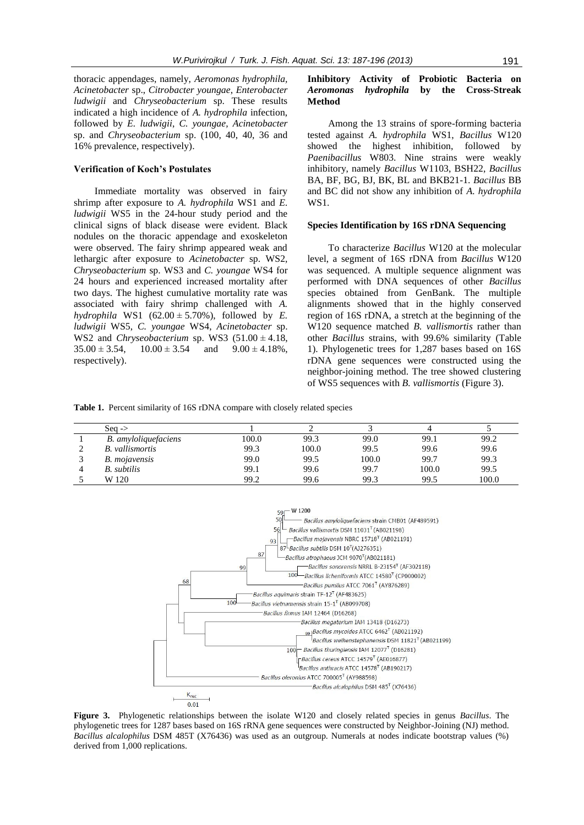thoracic appendages, namely, *Aeromonas hydrophila, Acinetobacter* sp., *Citrobacter youngae*, *Enterobacter ludwigii* and *Chryseobacterium* sp. These results indicated a high incidence of *A. hydrophila* infection, followed by *E. ludwigii*, *C. youngae, Acinetobacter*  sp. and *Chryseobacterium* sp. (100, 40, 40, 36 and 16% prevalence, respectively).

#### **Verification of Koch's Postulates**

Immediate mortality was observed in fairy shrimp after exposure to *A. hydrophila* WS1 and *E. ludwigii* WS5 in the 24-hour study period and the clinical signs of black disease were evident. Black nodules on the thoracic appendage and exoskeleton were observed. The fairy shrimp appeared weak and lethargic after exposure to *Acinetobacter* sp. WS2, *Chryseobacterium* sp. WS3 and *C. youngae* WS4 for 24 hours and experienced increased mortality after two days. The highest cumulative mortality rate was associated with fairy shrimp challenged with *A. hydrophila* WS1 (62.00  $\pm$  5.70%), followed by *E*. *ludwigii* WS5, *C. youngae* WS4, *Acinetobacter* sp. WS2 and *Chryseobacterium* sp. WS3  $(51.00 \pm 4.18,$  $35.00 \pm 3.54$ ,  $10.00 \pm 3.54$  and  $9.00 \pm 4.18\%$ , respectively).

# **Inhibitory Activity of Probiotic Bacteria on**  *Aeromonas hydrophila* **by the Cross-Streak Method**

Among the 13 strains of spore-forming bacteria tested against *A. hydrophila* WS1, *Bacillus* W120 showed the highest inhibition, followed by *Paenibacillus* W803. Nine strains were weakly inhibitory, namely *Bacillus* W1103, BSH22, *Bacillus* BA, BF, BG, BJ, BK, BL and BKB21-1. *Bacillus* BB and BC did not show any inhibition of *A. hydrophila* WS1.

## **Species Identification by 16S rDNA Sequencing**

To characterize *Bacillus* W120 at the molecular level, a segment of 16S rDNA from *Bacillus* W120 was sequenced. A multiple sequence alignment was performed with DNA sequences of other *Bacillus* species obtained from GenBank. The multiple alignments showed that in the highly conserved region of 16S rDNA, a stretch at the beginning of the W120 sequence matched *B. vallismortis* rather than other *Bacillus* strains, with 99.6% similarity (Table 1). Phylogenetic trees for 1,287 bases based on 16S rDNA gene sequences were constructed using the neighbor-joining method. The tree showed clustering of WS5 sequences with *B. vallismortis* (Figure 3).

**Table 1.** Percent similarity of 16S rDNA compare with closely related species

| Seq $\rightarrow$      |       |       |       |       |       |
|------------------------|-------|-------|-------|-------|-------|
| B. amyloliquefaciens   | 100.0 | 99.3  | 99.0  | 99.1  | 99.2  |
| <b>B.</b> vallismortis | 99.3  | 100.0 | 99.5  | 99.6  | 99.6  |
| B. mojavensis          | 99.0  | 99.5  | 100.0 | 99.7  | 99.3  |
| <b>B.</b> subtilis     | 99.1  | 99.6  | 99.7  | 100.0 | 99.5  |
| W 120                  | 99.2  | 99.6  | 99.3  | 99.5  | 100.0 |



**Figure 3.** Phylogenetic relationships between the isolate W120 and closely related species in genus *Bacillus*. The phylogenetic trees for 1287 bases based on 16S rRNA gene sequences were constructed by Neighbor-Joining (NJ) method. *Bacillus alcalophilus* DSM 485T (X76436) was used as an outgroup. Numerals at nodes indicate bootstrap values (%) derived from 1,000 replications.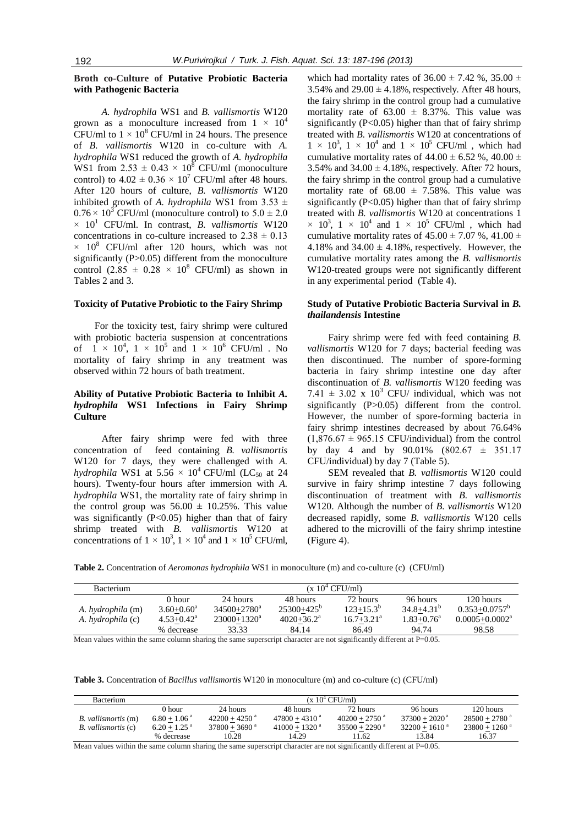# **Broth co-Culture of Putative Probiotic Bacteria with Pathogenic Bacteria**

*A. hydrophila* WS1 and *B. vallismortis* W120 grown as a monoculture increased from  $1 \times 10^4$ CFU/ml to  $1 \times 10^8$  CFU/ml in 24 hours. The presence of *B. vallismortis* W120 in co-culture with *A. hydrophila* WS1 reduced the growth of *A. hydrophila* WS1 from  $2.53 \pm 0.43 \times 10^8$  CFU/ml (monoculture control) to  $4.02 \pm 0.36 \times 10^7$  CFU/ml after 48 hours. After 120 hours of culture, *B. vallismortis* W120 inhibited growth of *A. hydrophila* WS1 from  $3.53 \pm$  $0.76 \times 10^3$  CFU/ml (monoculture control) to  $5.0 \pm 2.0$  $\times$  10<sup>1</sup> CFU/ml. In contrast, *B. vallismortis* W120 concentrations in co-culture increased to  $2.38 \pm 0.13$  $\times$  10<sup>8</sup> CFU/ml after 120 hours, which was not significantly (P>0.05) different from the monoculture control (2.85  $\pm$  0.28  $\times$  10<sup>8</sup> CFU/ml) as shown in Tables 2 and 3.

#### **Toxicity of Putative Probiotic to the Fairy Shrimp**

For the toxicity test, fairy shrimp were cultured with probiotic bacteria suspension at concentrations of  $1 \times 10^4$ ,  $1 \times 10^5$  and  $1 \times 10^6$  CFU/ml. No mortality of fairy shrimp in any treatment was observed within 72 hours of bath treatment.

# **Ability of Putative Probiotic Bacteria to Inhibit** *A. hydrophila* **WS1 Infections in Fairy Shrimp Culture**

After fairy shrimp were fed with three concentration of feed containing *B. vallismortis* W120 for 7 days, they were challenged with *A. hydrophila* WS1 at 5.56  $\times$  10<sup>4</sup> CFU/ml (LC<sub>50</sub> at 24 hours). Twenty-four hours after immersion with *A. hydrophila* WS1, the mortality rate of fairy shrimp in the control group was  $56.00 \pm 10.25\%$ . This value was significantly  $(P<0.05)$  higher than that of fairy shrimp treated with *B. vallismortis* W120 at concentrations of  $1 \times 10^3$ ,  $1 \times 10^4$  and  $1 \times 10^5$  CFU/ml,

which had mortality rates of  $36.00 \pm 7.42$  %,  $35.00 \pm 7.42$ 3.54% and  $29.00 \pm 4.18$ %, respectively. After 48 hours, the fairy shrimp in the control group had a cumulative mortality rate of  $63.00 \pm 8.37\%$ . This value was significantly (P<0.05) higher than that of fairy shrimp treated with *B. vallismortis* W120 at concentrations of  $1 \times 10^3$ ,  $1 \times 10^4$  and  $1 \times 10^5$  CFU/ml, which had cumulative mortality rates of  $44.00 \pm 6.52$  %,  $40.00 \pm 1$ 3.54% and  $34.00 \pm 4.18$ %, respectively. After 72 hours, the fairy shrimp in the control group had a cumulative mortality rate of  $68.00 \pm 7.58\%$ . This value was significantly  $(P<0.05)$  higher than that of fairy shrimp treated with *B. vallismortis* W120 at concentrations 1  $\times$  10<sup>3</sup>, 1  $\times$  10<sup>4</sup> and 1  $\times$  10<sup>5</sup> CFU/ml, which had cumulative mortality rates of  $45.00 \pm 7.07$  %,  $41.00 \pm 7.07$ 4.18% and  $34.00 \pm 4.18$ %, respectively. However, the cumulative mortality rates among the *B. vallismortis* W120-treated groups were not significantly different in any experimental period (Table 4).

# **Study of Putative Probiotic Bacteria Survival in** *B. thailandensis* **Intestine**

Fairy shrimp were fed with feed containing *B. vallismortis* W120 for 7 days; bacterial feeding was then discontinued. The number of spore-forming bacteria in fairy shrimp intestine one day after discontinuation of *B. vallismortis* W120 feeding was 7.41  $\pm$  3.02 x 10<sup>3</sup> CFU/ individual, which was not significantly (P>0.05) different from the control. However, the number of spore-forming bacteria in fairy shrimp intestines decreased by about 76.64%  $(1,876.67 \pm 965.15 \text{ CFU/individual})$  from the control by day 4 and by 90.01% (802.67 ± 351.17 CFU/individual) by day 7 (Table 5).

SEM revealed that *B. vallismortis* W120 could survive in fairy shrimp intestine 7 days following discontinuation of treatment with *B. vallismortis* W120. Although the number of *B. vallismortis* W120 decreased rapidly, some *B. vallismortis* W120 cells adhered to the microvilli of the fairy shrimp intestine (Figure 4).

**Table 2.** Concentration of *Aeromonas hydrophila* WS1 in monoculture (m) and co-culture (c) (CFU/ml)

| <b>Bacterium</b>         | (x 10 <sup>4</sup> CFU/ml) |                        |                          |                 |                 |                          |
|--------------------------|----------------------------|------------------------|--------------------------|-----------------|-----------------|--------------------------|
|                          | 0 hour                     | 24 hours               | 48 hours                 | 72 hours        | 96 hours        | 120 hours                |
| A. <i>hydrophila</i> (m) | $3.60 + 0.60^a$            | $34500 + 2780^{\circ}$ | $25300+425^b$            | $123+15.3^b$    | $34.8 + 4.31b$  | $0.353 + 0.0757^{\circ}$ |
| A. hydrophila (c)        | $4.53 + 0.42^a$            | $23000+1320^a$         | $4020+36.2^{\mathrm{a}}$ | $16.7 + 3.21^a$ | $1.83 + 0.76^a$ | $0.0005 + 0.0002^a$      |
|                          | % decrease                 | 33.33                  | 84.14                    | 86.49           | 94.74           | 98.58                    |

Mean values within the same column sharing the same superscript character are not significantly different at P=0.05.

**Table 3.** Concentration of *Bacillus vallismortis* W120 in monoculture (m) and co-culture (c) (CFU/ml)

| <b>Bacterium</b>    | (x 10 <sup>4</sup> CFU/ml) |                             |                             |                             |                             |                             |
|---------------------|----------------------------|-----------------------------|-----------------------------|-----------------------------|-----------------------------|-----------------------------|
|                     | 0 hour                     | 24 hours                    | 48 hours                    | 72 hours                    | 96 hours                    | 120 hours                   |
| B. vallismortis (m) | $6.80 + 1.06$ <sup>a</sup> | $42200 + 4250$ <sup>a</sup> | $47800 + 4310$ <sup>a</sup> | $40200 + 2750$ <sup>a</sup> | $37300 + 2020$ <sup>a</sup> | $28500 + 2780$ <sup>a</sup> |
| B. vallismortis (c) | $6.20 + 1.25$ <sup>a</sup> | $37800 + 3690$ <sup>a</sup> | $41000 + 1320$ <sup>a</sup> | $35500 + 2290$ <sup>a</sup> | $32200 + 1610^{\text{a}}$   | $23800 + 1260$ <sup>a</sup> |
|                     | % decrease                 | 10.28                       | 14.29                       | 1.62                        | 13.84                       | 16.37                       |

Mean values within the same column sharing the same superscript character are not significantly different at  $P=0.05$ .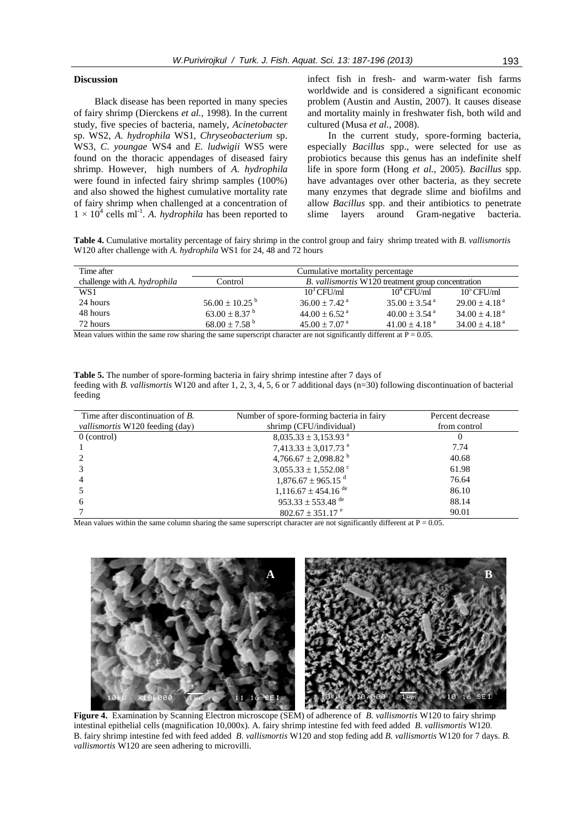# **Discussion**

Black disease has been reported in many species of fairy shrimp (Dierckens *et al.*, 1998). In the current study, five species of bacteria, namely, *Acinetobacter*  sp. WS2, *A. hydrophila* WS1, *Chryseobacterium* sp. WS3, *C*. *youngae* WS4 and *E. ludwigii* WS5 were found on the thoracic appendages of diseased fairy shrimp. However, high numbers of *A. hydrophila* were found in infected fairy shrimp samples (100%) and also showed the highest cumulative mortality rate of fairy shrimp when challenged at a concentration of  $1 \times 10^4$  cells ml<sup>-1</sup>. A. *hydrophila* has been reported to

infect fish in fresh- and warm-water fish farms worldwide and is considered a significant economic problem (Austin and Austin, 2007). It causes disease and mortality mainly in freshwater fish, both wild and cultured (Musa *et al.*, 2008).

In the current study, spore-forming bacteria, especially *Bacillus* spp., were selected for use as probiotics because this genus has an indefinite shelf life in spore form (Hong *et al.*, 2005). *Bacillus* spp. have advantages over other bacteria, as they secrete many enzymes that degrade slime and biofilms and allow *Bacillus* spp. and their antibiotics to penetrate slime layers around Gram-negative bacteria.

**Table 4.** Cumulative mortality percentage of fairy shrimp in the control group and fairy shrimp treated with *B. vallismortis* W120 after challenge with *A. hydrophila* WS1 for 24, 48 and 72 hours

| Time after                   | Cumulative mortality percentage |                                                           |                               |                               |  |
|------------------------------|---------------------------------|-----------------------------------------------------------|-------------------------------|-------------------------------|--|
| challenge with A. hydrophila | Control                         | B. <i>vallismortis</i> W120 treatment group concentration |                               |                               |  |
| WS1                          |                                 | $10^3$ CFU/ml                                             | $10^4$ CFU/ml                 | $10^5$ CFU/ml                 |  |
| 24 hours                     | $56.00 \pm 10.25$ <sup>b</sup>  | $36.00 \pm 7.42$ <sup>a</sup>                             | $35.00 \pm 3.54$ <sup>a</sup> | $29.00 \pm 4.18$ <sup>a</sup> |  |
| 48 hours                     | $63.00 \pm 8.37$ <sup>b</sup>   | $44.00 \pm 6.52$ <sup>a</sup>                             | $40.00 \pm 3.54$ <sup>a</sup> | $34.00 \pm 4.18$ <sup>a</sup> |  |
| 72 hours                     | $68.00 \pm 7.58^{\text{b}}$     | $45.00 \pm 7.07$ <sup>a</sup>                             | $41.00 \pm 4.18$ <sup>a</sup> | $34.00 \pm 4.18$ <sup>a</sup> |  |

Mean values within the same row sharing the same superscript character are not significantly different at  $P = 0.05$ .

**Table 5.** The number of spore-forming bacteria in fairy shrimp intestine after 7 days of feeding with *B. vallismortis* W120 and after 1, 2, 3, 4, 5, 6 or 7 additional days (n=30) following discontinuation of bacterial feeding

| Time after discontinuation of B.<br><i>vallismortis</i> W120 feeding (day) | Number of spore-forming bacteria in fairy<br>shrimp (CFU/individual) | Percent decrease<br>from control |
|----------------------------------------------------------------------------|----------------------------------------------------------------------|----------------------------------|
| $0$ (control)                                                              | $8,035.33 \pm 3,153.93$ <sup>a</sup>                                 | $_{0}$                           |
|                                                                            | 7,413.33 $\pm$ 3,017.73 <sup>a</sup>                                 | 7.74                             |
|                                                                            | 4,766.67 $\pm$ 2,098.82 <sup>b</sup>                                 | 40.68                            |
|                                                                            | $3,055.33 \pm 1,552.08$ <sup>c</sup>                                 | 61.98                            |
|                                                                            | $1,876.67 \pm 965.15$ <sup>d</sup>                                   | 76.64                            |
|                                                                            | $1,116.67 \pm 454.16$ <sup>de</sup>                                  | 86.10                            |
| 6                                                                          | $953.33 \pm 553.48$ <sup>de</sup>                                    | 88.14                            |
|                                                                            | $802.67 \pm 351.17$ <sup>e</sup>                                     | 90.01                            |

Mean values within the same column sharing the same superscript character are not significantly different at  $P = 0.05$ .



**Figure 4.** Examination by Scanning Electron microscope (SEM) of adherence of *B. vallismortis* W120 to fairy shrimp intestinal epithelial cells (magnification 10,000x). A. fairy shrimp intestine fed with feed added *B. vallismortis* W120. B. fairy shrimp intestine fed with feed added *B. vallismortis* W120 and stop feding add *B. vallismortis* W120 for 7 days. *B. vallismortis* W120 are seen adhering to microvilli.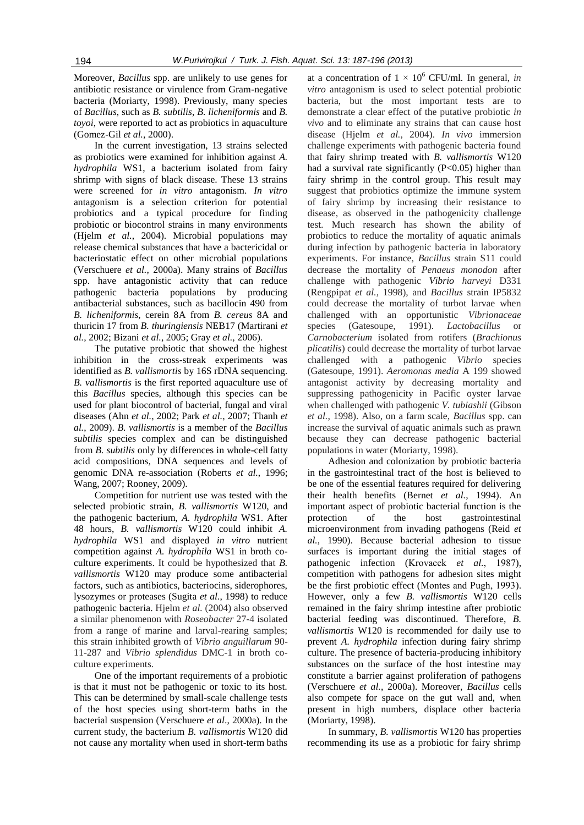Moreover, *Bacillus* spp. are unlikely to use genes for antibiotic resistance or virulence from Gram-negative bacteria (Moriarty, 1998). Previously, many species of *Bacillus*, such as *B. subtilis*, *B. licheniformis* and *B. toyoi*, were reported to act as probiotics in aquaculture (Gomez-Gil *et al.*, 2000).

In the current investigation, 13 strains selected as probiotics were examined for inhibition against *A. hydrophila* WS1, a bacterium isolated from fairy shrimp with signs of black disease. These 13 strains were screened for *in vitro* antagonism. *In vitro*  antagonism is a selection criterion for potential probiotics and a typical procedure for finding probiotic or biocontrol strains in many environments (Hjelm *et al.*, 2004). Microbial populations may release chemical substances that have a bactericidal or bacteriostatic effect on other microbial populations (Verschuere *et al.*, 2000a). Many strains of *Bacillus*  spp. have antagonistic activity that can reduce pathogenic bacteria populations by producing antibacterial substances, such as bacillocin 490 from *B. licheniformis*, cerein 8A from *B. cereus* 8A and thuricin 17 from *B. thuringiensis* NEB17 (Martirani *et al.*, 2002; Bizani *et al.*, 2005; Gray *et al.,* 2006).

The putative probiotic that showed the highest inhibition in the cross-streak experiments was identified as *B. vallismortis* by 16S rDNA sequencing. *B. vallismortis* is the first reported aquaculture use of this *Bacillus* species, although this species can be used for plant biocontrol of bacterial, fungal and viral diseases (Ahn *et al.*, 2002; Park *et al.*, 2007; Thanh *et al.*, 2009). *B. vallismortis* is a member of the *Bacillus subtilis* species complex and can be distinguished from *B. subtilis* only by differences in whole-cell fatty acid compositions, DNA sequences and levels of genomic DNA re-association (Roberts *et al.*, 1996; Wang, 2007; Rooney, 2009).

Competition for nutrient use was tested with the selected probiotic strain, *B. vallismortis* W120, and the pathogenic bacterium, *A. hydrophila* WS1. After 48 hours, *B. vallismortis* W120 could inhibit *A. hydrophila* WS1 and displayed *in vitro* nutrient competition against *A. hydrophila* WS1 in broth coculture experiments. It could be hypothesized that *B. vallismortis* W120 may produce some antibacterial factors, such as antibiotics, bacteriocins, siderophores, lysozymes or proteases (Sugita *et al.*, 1998) to reduce pathogenic bacteria. Hjelm *et al.* (2004) also observed a similar phenomenon with *Roseobacter* 27-4 isolated from a range of marine and larval-rearing samples; this strain inhibited growth of *Vibrio anguillarum* 90- 11-287 and *Vibrio splendidus* DMC-1 in broth coculture experiments.

One of the important requirements of a probiotic is that it must not be pathogenic or toxic to its host. This can be determined by small-scale challenge tests of the host species using short-term baths in the bacterial suspension (Verschuere *et al*., 2000a). In the current study, the bacterium *B. vallismortis* W120 did not cause any mortality when used in short-term baths

at a concentration of  $1 \times 10^6$  CFU/ml. In general, *in vitro* antagonism is used to select potential probiotic bacteria, but the most important tests are to demonstrate a clear effect of the putative probiotic *in vivo* and to eliminate any strains that can cause host disease (Hjelm *et al.*, 2004). *In vivo* immersion challenge experiments with pathogenic bacteria found that fairy shrimp treated with *B. vallismortis* W120 had a survival rate significantly  $(P<0.05)$  higher than fairy shrimp in the control group. This result may suggest that probiotics optimize the immune system of fairy shrimp by increasing their resistance to disease, as observed in the pathogenicity challenge test. Much research has shown the ability of probiotics to reduce the mortality of aquatic animals during infection by pathogenic bacteria in laboratory experiments. For instance, *Bacillus* strain S11 could decrease the mortality of *Penaeus monodon* after challenge with pathogenic *Vibrio harveyi* D331 (Rengpipat *et al.*, 1998), and *Bacillus* strain IP5832 could decrease the mortality of turbot larvae when challenged with an opportunistic *Vibrionaceae*  species (Gatesoupe, 1991). *Lactobacillus* or *Carnobacterium* isolated from rotifers (*Brachionus plicatilis*) could decrease the mortality of turbot larvae challenged with a pathogenic *Vibrio* species (Gatesoupe, 1991). *Aeromonas media* A 199 showed antagonist activity by decreasing mortality and suppressing pathogenicity in Pacific oyster larvae when challenged with pathogenic *V. tubiashii* (Gibson *et al.*, 1998). Also, on a farm scale, *Bacillus* spp. can increase the survival of aquatic animals such as prawn because they can decrease pathogenic bacterial populations in water (Moriarty, 1998).

Adhesion and colonization by probiotic bacteria in the gastrointestinal tract of the host is believed to be one of the essential features required for delivering their health benefits (Bernet *et al.*, 1994). An important aspect of probiotic bacterial function is the protection of the host gastrointestinal microenvironment from invading pathogens (Reid *et al.*, 1990). Because bacterial adhesion to tissue surfaces is important during the initial stages of pathogenic infection (Krovacek *et al.*, 1987), competition with pathogens for adhesion sites might be the first probiotic effect (Montes and Pugh, 1993). However, only a few *B. vallismortis* W120 cells remained in the fairy shrimp intestine after probiotic bacterial feeding was discontinued. Therefore, *B. vallismortis* W120 is recommended for daily use to prevent *A. hydrophila* infection during fairy shrimp culture. The presence of bacteria-producing inhibitory substances on the surface of the host intestine may constitute a barrier against proliferation of pathogens (Verschuere *et al.*, 2000a). Moreover, *Bacillus* cells also compete for space on the gut wall and, when present in high numbers, displace other bacteria (Moriarty, 1998).

In summary, *B. vallismortis* W120 has properties recommending its use as a probiotic for fairy shrimp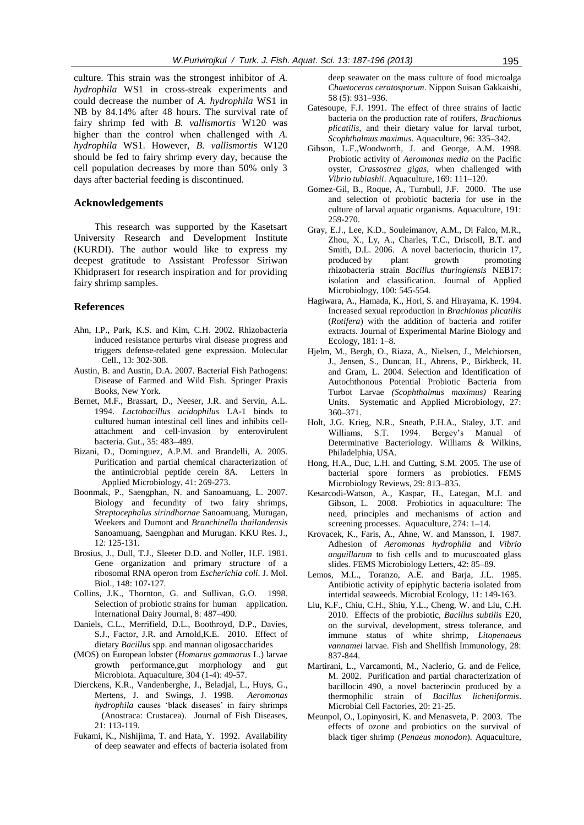culture. This strain was the strongest inhibitor of *A. hydrophila* WS1 in cross-streak experiments and could decrease the number of *A. hydrophila* WS1 in NB by 84.14% after 48 hours. The survival rate of fairy shrimp fed with *B. vallismortis* W120 was higher than the control when challenged with *A. hydrophila* WS1. However, *B. vallismortis* W120 should be fed to fairy shrimp every day, because the cell population decreases by more than 50% only 3 days after bacterial feeding is discontinued.

#### **Acknowledgements**

This research was supported by the Kasetsart University Research and Development Institute (KURDI). The author would like to express my deepest gratitude to Assistant Professor Siriwan Khidprasert for research inspiration and for providing fairy shrimp samples.

#### **References**

- Ahn, I.P., Park, K.S. and Kim, C.H. 2002. Rhizobacteria induced resistance perturbs viral disease progress and triggers defense-related gene expression. Molecular Cell., 13: 302-308.
- Austin, B. and Austin, D.A. 2007. Bacterial Fish Pathogens: Disease of Farmed and Wild Fish. Springer Praxis Books, New York.
- Bernet, M.F., Brassart, D., Neeser, J.R. and Servin, A.L. 1994. *Lactobacillus acidophilus* LA-1 binds to cultured human intestinal cell lines and inhibits cellattachment and cell-invasion by enterovirulent bacteria. Gut., 35: 483–489.
- Bizani, D., Dominguez, A.P.M. and Brandelli, A. 2005. Purification and partial chemical characterization of the antimicrobial peptide cerein 8A. Letters in Applied Microbiology, 41: 269-273.
- Boonmak, P., Saengphan, N. and Sanoamuang, L. 2007. Biology and fecundity of two fairy shrimps, *Streptocephalus sirindhornae* Sanoamuang, Murugan, Weekers and Dumont and *Branchinella thailandensis* Sanoamuang, Saengphan and Murugan. KKU Res. J., 12: 125-131.
- Brosius, J., Dull, T.J., Sleeter D.D. and Noller, H.F. 1981. Gene organization and primary structure of a ribosomal RNA operon from *Escherichia coli*. J. Mol. Biol., 148: 107-127.
- Collins, J.K., Thornton, G. and Sullivan, G.O. 1998. Selection of probiotic strains for human application. International Dairy Journal, 8: 487–490.
- Daniels, C.L., Merrifield, D.L., Boothroyd, D.P., Davies, S.J., Factor, J.R. and Arnold,K.E.2010. Effect of dietary *Bacillus* spp. and mannan oligosaccharides
- (MOS) on European lobster (*Homarus gammarus* L.) larvae growth performance,gut morphology and gut Microbiota. Aquaculture, 304 (1-4): 49-57.
- Dierckens, K.R., Vandenberghe, J., Beladjal, L., Huys, G., Mertens, J. and Swings, J. 1998. *Aeromonas hydrophila* causes 'black diseases' in fairy shrimps (Anostraca: Crustacea). Journal of Fish Diseases, 21: 113-119.
- Fukami, K., Nishijima, T. and Hata, Y. 1992. Availability of deep seawater and effects of bacteria isolated from

deep seawater on the mass culture of food microalga *Chaetoceros ceratosporum*. Nippon Suisan Gakkaishi, 58 (5): 931–936.

- Gatesoupe, F.J. 1991. The effect of three strains of lactic bacteria on the production rate of rotifers, *Brachionus plicatilis*, and their dietary value for larval turbot, *Scophthalmus maximus*. Aquaculture, 96: 335–342.
- Gibson, L.F.,Woodworth, J. and George, A.M. 1998. Probiotic activity of *Aeromonas media* on the Pacific oyster, *Crassostrea gigas*, when challenged with *Vibrio tubiashii*. Aquaculture, 169: 111–120.
- Gomez-Gil, B., Roque, A., Turnbull, J.F. 2000. The use and selection of probiotic bacteria for use in the culture of larval aquatic organisms. Aquaculture, 191: 259-270.
- Gray, E.J., Lee, K.D., Souleimanov, A.M., Di Falco, M.R., Zhou, X., Ly, A., Charles, T.C., Driscoll, B.T. and Smith, D.L. 2006. A novel bacteriocin, thuricin 17, produced by plant growth promoting rhizobacteria strain *Bacillus thuringiensis* NEB17: isolation and classification. Journal of Applied Microbiology, 100: 545-554.
- Hagiwara, A., Hamada, K., Hori, S. and Hirayama, K. 1994. Increased sexual reproduction in *Brachionus plicatilis*  (*Rotifera*) with the addition of bacteria and rotifer extracts. Journal of Experimental Marine Biology and Ecology, 181: 1–8.
- Hjelm, M., Bergh, O., Riaza, A., Nielsen, J., Melchiorsen, J., Jensen, S., Duncan, H., Ahrens, P., Birkbeck, H. and Gram, L. 2004. Selection and Identification of Autochthonous Potential Probiotic Bacteria from Turbot Larvae *(Scophthalmus maximus)* Rearing Units. Systematic and Applied Microbiology, 27: 360–371.
- Holt, J.G. Krieg, N.R., Sneath, P.H.A., Staley, J.T. and Williams, S.T. 1994. Bergey's Manual of Determinative Bacteriology. Williams & Wilkins, Philadelphia, USA.
- Hong, H.A., Duc, L.H. and Cutting, S.M. 2005. The use of bacterial spore formers as probiotics. FEMS Microbiology Reviews, 29: 813–835.
- Kesarcodi-Watson, A., Kaspar, H., Lategan, M.J. and Gibson, L. 2008. Probiotics in aquaculture: The need, principles and mechanisms of action and screening processes. Aquaculture, 274: 1–14.
- Krovacek, K., Faris, A., Ahne, W. and Mansson, I. 1987. Adhesion of *Aeromonas hydrophila* and *Vibrio anguillarum* to fish cells and to mucuscoated glass slides. FEMS Microbiology Letters, 42: 85–89.
- Lemos, M.L., Toranzo, A.E. and Barja, J.L. 1985. Antibiotic activity of epiphytic bacteria isolated from intertidal seaweeds. Microbial Ecology, 11: 149-163.
- Liu, K.F., Chiu, C.H., Shiu, Y.L., Cheng, W. and Liu, C.H. 2010. Effects of the probiotic, *Bacillus subtilis* E20, on the survival, development, stress tolerance, and immune status of white shrimp, *Litopenaeus vannamei* larvae. Fish and Shellfish Immunology, 28: 837-844.
- Martirani, L., Varcamonti, M., Naclerio, G. and de Felice, M. 2002. Purification and partial characterization of bacillocin 490, a novel bacteriocin produced by a thermophilic strain of *Bacillus licheniformis*. Microbial Cell Factories, 20: 21-25.
- Meunpol, O., Lopinyosiri, K. and Menasveta, P. 2003. The effects of ozone and probiotics on the survival of black tiger shrimp (*Penaeus monodon*). Aquaculture,